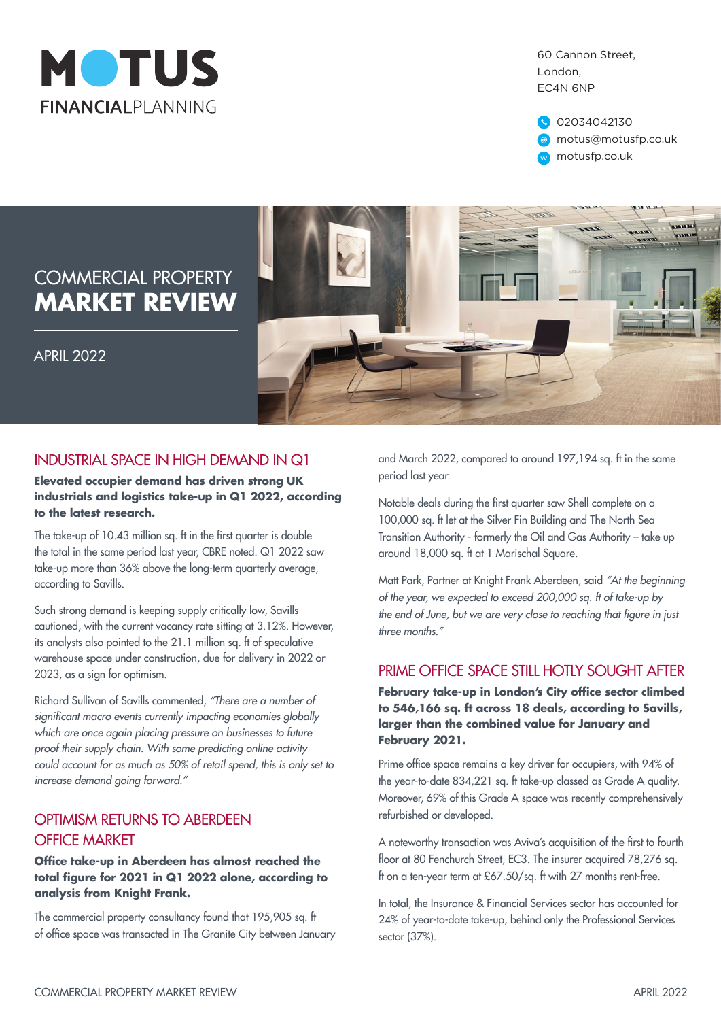

60 Cannon Street, London, EC4N 6NP

02034042130 motus@motusfp.co.uk w motusfp.co.uk

# COMMERCIAL PROPERTY **MARKET REVIEW**

APRIL 2022



### INDUSTRIAL SPACE IN HIGH DEMAND IN Q1

#### **Elevated occupier demand has driven strong UK industrials and logistics take-up in Q1 2022, according to the latest research.**

The take-up of 10.43 million sq. ft in the first quarter is double the total in the same period last year, CBRE noted. Q1 2022 saw take-up more than 36% above the long-term quarterly average, according to Savills.

Such strong demand is keeping supply critically low, Savills cautioned, with the current vacancy rate sitting at 3.12%. However, its analysts also pointed to the 21.1 million sq. ft of speculative warehouse space under construction, due for delivery in 2022 or 2023, as a sign for optimism.

Richard Sullivan of Savills commented, *"There are a number of*  significant macro events currently impacting economies globally which are once again placing pressure on businesses to future proof their supply chain. With some predicting online activity could account for as much as 50% of retail spend, this is only set to increase demand going forward."

## OPTIMISM RETURNS TO ABERDEEN OFFICE MARKET

#### **Office take-up in Aberdeen has almost reached the total figure for 2021 in Q1 2022 alone, according to analysis from Knight Frank.**

The commercial property consultancy found that 195,905 sq. ft of office space was transacted in The Granite City between January and March 2022, compared to around 197,194 sq. ft in the same period last year.

Notable deals during the first quarter saw Shell complete on a 100,000 sq. ft let at the Silver Fin Building and The North Sea Transition Authority - formerly the Oil and Gas Authority – take up around 18,000 sq. ft at 1 Marischal Square.

Matt Park, Partner at Knight Frank Aberdeen, said "At the beginning of the year, we expected to exceed 200,000 sq. ft of take-up by the end of June, but we are very close to reaching that figure in just three months."

### PRIME OFFICE SPACE STILL HOTLY SOUGHT AFTER

**February take-up in London's City office sector climbed to 546,166 sq. ft across 18 deals, according to Savills, larger than the combined value for January and February 2021.**

Prime office space remains a key driver for occupiers, with 94% of the year-to-date 834,221 sq. ft take-up classed as Grade A quality. Moreover, 69% of this Grade A space was recently comprehensively refurbished or developed.

A noteworthy transaction was Aviva's acquisition of the first to fourth floor at 80 Fenchurch Street, EC3. The insurer acquired 78,276 sq. ft on a ten-year term at £67.50/sq. ft with 27 months rent-free.

In total, the Insurance & Financial Services sector has accounted for 24% of year-to-date take-up, behind only the Professional Services sector (37%).